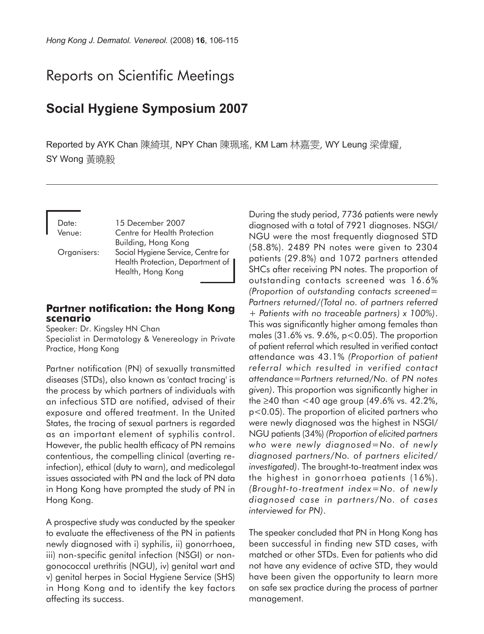# Reports on Scientific Meetings

# **Social Hygiene Symposium 2007**

Reported by AYK Chan 陳綺琪, NPY Chan 陳珮瑤, KM Lam 林嘉雯, WY Leung 梁偉耀, SY Wong 黃曉毅

Date: 15 December 2007 Venue: Centre for Health Protection Building, Hong Kong Organisers: Social Hygiene Service, Centre for Health Protection, Department of Health, Hong Kong

#### **Partner notification: the Hong Kong scenario**

Speaker: Dr. Kingsley HN Chan Specialist in Dermatology & Venereology in Private Practice, Hong Kong

Partner notification (PN) of sexually transmitted diseases (STDs), also known as 'contact tracing' is the process by which partners of individuals with an infectious STD are notified, advised of their exposure and offered treatment. In the United States, the tracing of sexual partners is regarded as an important element of syphilis control. However, the public health efficacy of PN remains contentious, the compelling clinical (averting reinfection), ethical (duty to warn), and medicolegal issues associated with PN and the lack of PN data in Hong Kong have prompted the study of PN in Hong Kong.

A prospective study was conducted by the speaker to evaluate the effectiveness of the PN in patients newly diagnosed with i) syphilis, ii) gonorrhoea, iii) non-specific genital infection (NSGI) or nongonococcal urethritis (NGU), iv) genital wart and v) genital herpes in Social Hygiene Service (SHS) in Hong Kong and to identify the key factors affecting its success.

During the study period, 7736 patients were newly diagnosed with a total of 7921 diagnoses. NSGI/ NGU were the most frequently diagnosed STD (58.8%). 2489 PN notes were given to 2304 patients (29.8%) and 1072 partners attended SHCs after receiving PN notes. The proportion of outstanding contacts screened was 16.6% *(Proportion of outstanding contacts screened= Partners returned/(Total no. of partners referred + Patients with no traceable partners) x 100%)*. This was significantly higher among females than males (31.6% vs. 9.6%, p<0.05). The proportion of patient referral which resulted in verified contact attendance was 43.1% *(Proportion of patient referral which resulted in verified contact attendance=Partners returned/No. of PN notes given)*. This proportion was significantly higher in the ≥40 than  $<$ 40 age group (49.6% vs. 42.2%, p<0.05). The proportion of elicited partners who were newly diagnosed was the highest in NSGI/ NGU patients (34%) *(Proportion of elicited partners who were newly diagnosed=No. of newly diagnosed partners/No. of partners elicited/ investigated)*. The brought-to-treatment index was the highest in gonorrhoea patients (16%). *(Brought-to-treatment index=No. of newly diagnosed case in partners/No. of cases interviewed for PN)*.

The speaker concluded that PN in Hong Kong has been successful in finding new STD cases, with matched or other STDs. Even for patients who did not have any evidence of active STD, they would have been given the opportunity to learn more on safe sex practice during the process of partner management.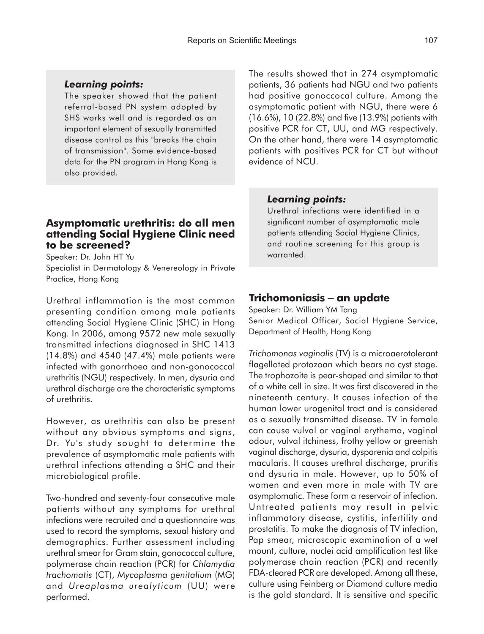## *Learning points:*

The speaker showed that the patient referral-based PN system adopted by SHS works well and is regarded as an important element of sexually transmitted disease control as this "breaks the chain of transmission". Some evidence-based data for the PN program in Hong Kong is also provided.

## **Asymptomatic urethritis: do all men attending Social Hygiene Clinic need to be screened?**

Speaker: Dr. John HT Yu Specialist in Dermatology & Venereology in Private Practice, Hong Kong

Urethral inflammation is the most common presenting condition among male patients attending Social Hygiene Clinic (SHC) in Hong Kong. In 2006, among 9572 new male sexually transmitted infections diagnosed in SHC 1413 (14.8%) and 4540 (47.4%) male patients were infected with gonorrhoea and non-gonococcal urethritis (NGU) respectively. In men, dysuria and urethral discharge are the characteristic symptoms of urethritis.

However, as urethritis can also be present without any obvious symptoms and signs, Dr. Yu's study sought to determine the prevalence of asymptomatic male patients with urethral infections attending a SHC and their microbiological profile.

Two-hundred and seventy-four consecutive male patients without any symptoms for urethral infections were recruited and a questionnaire was used to record the symptoms, sexual history and demographics. Further assessment including urethral smear for Gram stain, gonococcal culture, polymerase chain reaction (PCR) for *Chlamydia trachomatis* (CT), *Mycoplasma genitalium* (MG) and *Ureaplasma urealyticum* (UU) were performed.

The results showed that in 274 asymptomatic patients, 36 patients had NGU and two patients had positive gonoccocal culture. Among the asymptomatic patient with NGU, there were 6 (16.6%), 10 (22.8%) and five (13.9%) patients with positive PCR for CT, UU, and MG respectively. On the other hand, there were 14 asymptomatic patients with positives PCR for CT but without evidence of NCU.

#### *Learning points:*

Urethral infections were identified in a significant number of asymptomatic male patients attending Social Hygiene Clinics, and routine screening for this group is warranted.

# **Trichomoniasis** − **an update**

Speaker: Dr. William YM Tang Senior Medical Officer, Social Hygiene Service, Department of Health, Hong Kong

*Trichomonas vaginalis* (TV) is a microaerotolerant flagellated protozoan which bears no cyst stage. The trophozoite is pear-shaped and similar to that of a white cell in size. It was first discovered in the nineteenth century. It causes infection of the human lower urogenital tract and is considered as a sexually transmitted disease. TV in female can cause vulval or vaginal erythema, vaginal odour, vulval itchiness, frothy yellow or greenish vaginal discharge, dysuria, dysparenia and colpitis macularis. It causes urethral discharge, pruritis and dysuria in male. However, up to 50% of women and even more in male with TV are asymptomatic. These form a reservoir of infection. Untreated patients may result in pelvic inflammatory disease, cystitis, infertility and prostatitis. To make the diagnosis of TV infection, Pap smear, microscopic examination of a wet mount, culture, nuclei acid amplification test like polymerase chain reaction (PCR) and recently FDA-cleared PCR are developed. Among all these, culture using Feinberg or Diamond culture media is the gold standard. It is sensitive and specific